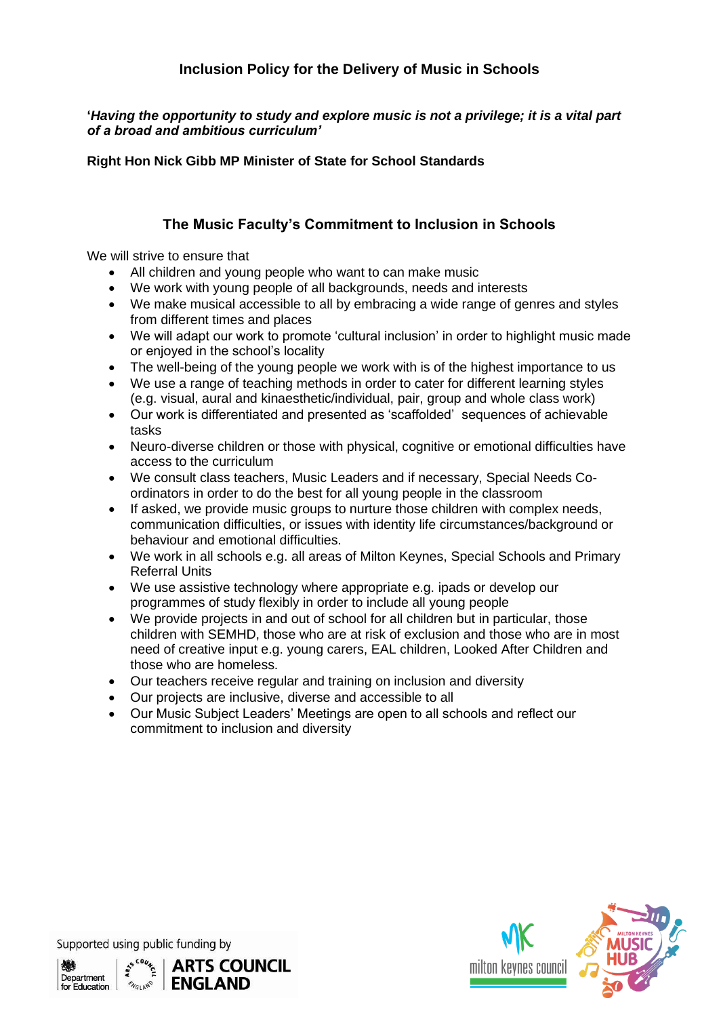## **Inclusion Policy for the Delivery of Music in Schools**

**'***Having the opportunity to study and explore music is not a privilege; it is a vital part of a broad and ambitious curriculum'*

**Right Hon Nick Gibb MP Minister of State for School Standards**

## **The Music Faculty's Commitment to Inclusion in Schools**

We will strive to ensure that

- All children and young people who want to can make music
- We work with young people of all backgrounds, needs and interests
- We make musical accessible to all by embracing a wide range of genres and styles from different times and places
- We will adapt our work to promote 'cultural inclusion' in order to highlight music made or enjoyed in the school's locality
- The well-being of the young people we work with is of the highest importance to us
- We use a range of teaching methods in order to cater for different learning styles (e.g. visual, aural and kinaesthetic/individual, pair, group and whole class work)
- Our work is differentiated and presented as 'scaffolded' sequences of achievable tasks
- Neuro-diverse children or those with physical, cognitive or emotional difficulties have access to the curriculum
- We consult class teachers, Music Leaders and if necessary, Special Needs Coordinators in order to do the best for all young people in the classroom
- If asked, we provide music groups to nurture those children with complex needs, communication difficulties, or issues with identity life circumstances/background or behaviour and emotional difficulties.
- We work in all schools e.g. all areas of Milton Keynes, Special Schools and Primary Referral Units
- We use assistive technology where appropriate e.g. ipads or develop our programmes of study flexibly in order to include all young people
- We provide projects in and out of school for all children but in particular, those children with SEMHD, those who are at risk of exclusion and those who are in most need of creative input e.g. young carers, EAL children, Looked After Children and those who are homeless.
- Our teachers receive regular and training on inclusion and diversity
- Our projects are inclusive, diverse and accessible to all
- Our Music Subject Leaders' Meetings are open to all schools and reflect our commitment to inclusion and diversity